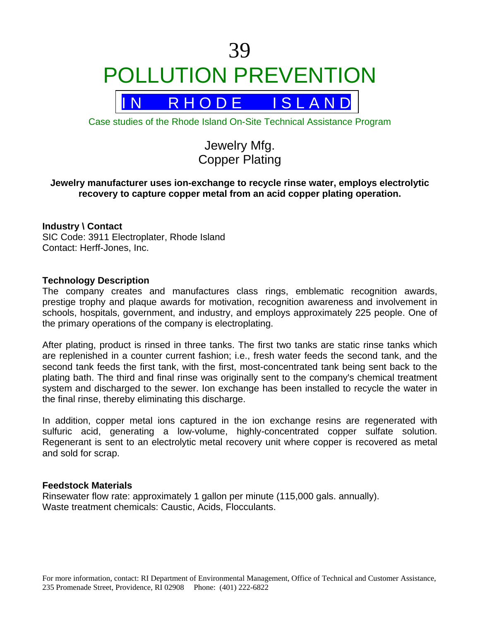# 39 POLLUTION PREVENTION



Case studies of the Rhode Island On-Site Technical Assistance Program

Jewelry Mfg. Copper Plating

# **Jewelry manufacturer uses ion-exchange to recycle rinse water, employs electrolytic recovery to capture copper metal from an acid copper plating operation.**

# **Industry \ Contact**

SIC Code: 3911 Electroplater, Rhode Island Contact: Herff-Jones, Inc.

#### **Technology Description**

The company creates and manufactures class rings, emblematic recognition awards, prestige trophy and plaque awards for motivation, recognition awareness and involvement in schools, hospitals, government, and industry, and employs approximately 225 people. One of the primary operations of the company is electroplating.

After plating, product is rinsed in three tanks. The first two tanks are static rinse tanks which are replenished in a counter current fashion; i.e., fresh water feeds the second tank, and the second tank feeds the first tank, with the first, most-concentrated tank being sent back to the plating bath. The third and final rinse was originally sent to the company's chemical treatment system and discharged to the sewer. Ion exchange has been installed to recycle the water in the final rinse, thereby eliminating this discharge.

In addition, copper metal ions captured in the ion exchange resins are regenerated with sulfuric acid, generating a low-volume, highly-concentrated copper sulfate solution. Regenerant is sent to an electrolytic metal recovery unit where copper is recovered as metal and sold for scrap.

#### **Feedstock Materials**

Rinsewater flow rate: approximately 1 gallon per minute (115,000 gals. annually). Waste treatment chemicals: Caustic, Acids, Flocculants.